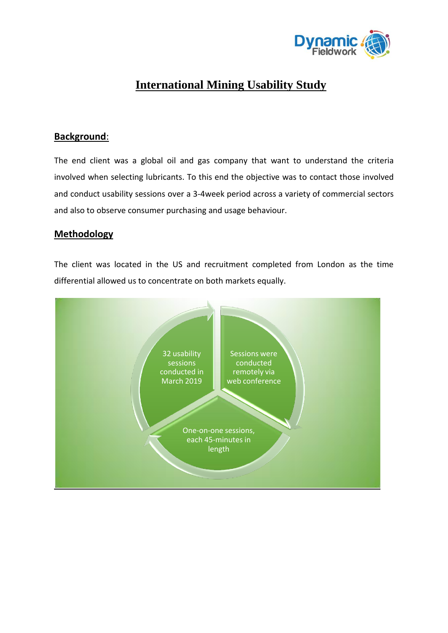

# **International Mining Usability Study**

### **Background**:

The end client was a global oil and gas company that want to understand the criteria involved when selecting lubricants. To this end the objective was to contact those involved and conduct usability sessions over a 3-4week period across a variety of commercial sectors and also to observe consumer purchasing and usage behaviour.

#### **Methodology**

The client was located in the US and recruitment completed from London as the time differential allowed us to concentrate on both markets equally.

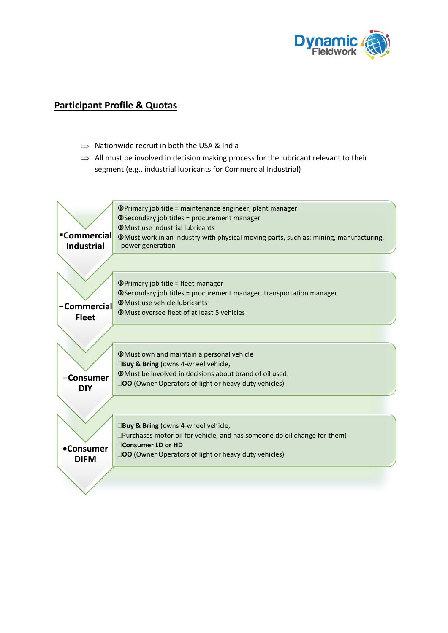

## **Participant Profile & Quotas**

- $\Rightarrow$  Nationwide recruit in both the USA & India
- $\Rightarrow$  All must be involved in decision making process for the lubricant relevant to their segment (e.g., industrial lubricants for Commercial Industrial)